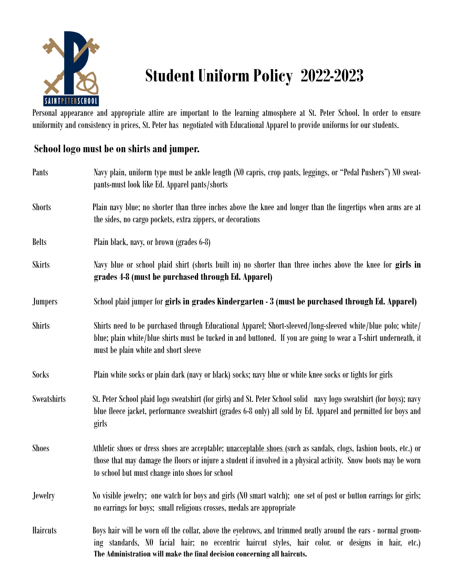

## **Student Uniform Policy 2022-2023**

Personal appearance and appropriate attire are important to the learning atmosphere at St. Peter School. In order to ensure uniformity and consistency in prices, St. Peter has negotiated with Educational Apparel to provide uniforms for our students.

## **School logo must be on shirts and jumper.**

| Pants              | Navy plain, uniform type must be ankle length (NO capris, crop pants, leggings, or "Pedal Pushers") NO sweat-<br>pants-must look like Ed. Apparel pants/shorts                                                                                                                                 |
|--------------------|------------------------------------------------------------------------------------------------------------------------------------------------------------------------------------------------------------------------------------------------------------------------------------------------|
| <b>Shorts</b>      | Plain navy blue; no shorter than three inches above the knee and longer than the fingertips when arms are at<br>the sides, no cargo pockets, extra zippers, or decorations                                                                                                                     |
| <b>Belts</b>       | Plain black, navy, or brown (grades 6-8)                                                                                                                                                                                                                                                       |
| <b>Skirts</b>      | Navy blue or school plaid shirt (shorts built in) no shorter than three inches above the knee for girls in<br>grades 4-8 (must be purchased through Ed. Apparel)                                                                                                                               |
| <b>Jumpers</b>     | School plaid jumper for girls in grades Kindergarten - 3 (must be purchased through Ed. Apparel)                                                                                                                                                                                               |
| <b>Shirts</b>      | Shirts need to be purchased through Educational Apparel; Short-sleeved/long-sleeved white/blue polo; white/<br>blue; plain white/blue shirts must be tucked in and buttoned. If you are going to wear a T-shirt underneath, it<br>must be plain white and short sleeve                         |
| Socks              | Plain white socks or plain dark (navy or black) socks; navy blue or white knee socks or tights for girls                                                                                                                                                                                       |
| <b>Sweatshirts</b> | St. Peter School plaid logo sweatshirt (for girls) and St. Peter School solid navy logo sweatshirt (for boys); navy<br>blue fleece jacket, performance sweatshirt (grades 6-8 only) all sold by Ed. Apparel and permitted for boys and<br>girls                                                |
| <b>Shoes</b>       | Athletic shoes or dress shoes are acceptable; unacceptable shoes (such as sandals, clogs, fashion boots, etc.) or<br>those that may damage the floors or injure a student if involved in a physical activity. Snow boots may be worn<br>to school but must change into shoes for school        |
| <b>Jewelry</b>     | No visible jewelry; one watch for boys and girls (N0 smart watch); one set of post or button earrings for girls;<br>no earrings for boys; small religious crosses, medals are appropriate                                                                                                      |
| <b>Haircuts</b>    | Boys hair will be worn off the collar, above the eyebrows, and trimmed neatly around the ears - normal groom-<br>ing standards, NO facial hair; no eccentric haircut styles, hair color. or designs in hair, etc.)<br>The Administration will make the final decision concerning all haircuts. |